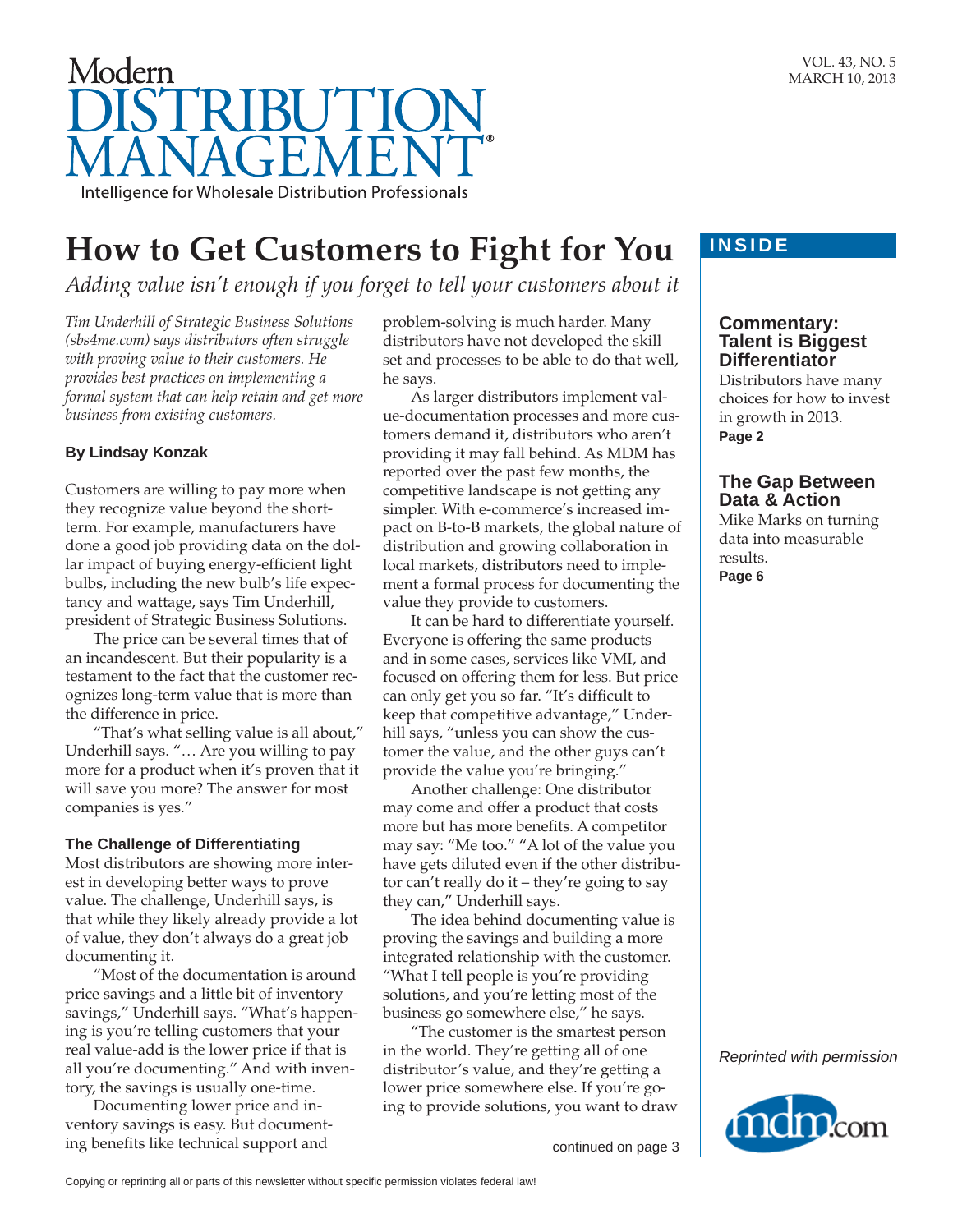

# **How to Get Customers to Fight for You**

*Adding value isn't enough if you forget to tell your customers about it*

*Tim Underhill of Strategic Business Solutions (sbs4me.com) says distributors often struggle with proving value to their customers. He provides best practices on implementing a formal system that can help retain and get more business from existing customers.*

## **By Lindsay Konzak**

Customers are willing to pay more when they recognize value beyond the shortterm. For example, manufacturers have done a good job providing data on the dollar impact of buying energy-efficient light bulbs, including the new bulb's life expectancy and wattage, says Tim Underhill, president of Strategic Business Solutions.

The price can be several times that of an incandescent. But their popularity is a testament to the fact that the customer recognizes long-term value that is more than the difference in price.

"That's what selling value is all about," Underhill says. "… Are you willing to pay more for a product when it's proven that it will save you more? The answer for most companies is yes."

### **The Challenge of Differentiating**

Most distributors are showing more interest in developing better ways to prove value. The challenge, Underhill says, is that while they likely already provide a lot of value, they don't always do a great job documenting it.

"Most of the documentation is around price savings and a little bit of inventory savings," Underhill says. "What's happening is you're telling customers that your real value-add is the lower price if that is all you're documenting." And with inventory, the savings is usually one-time.

Documenting lower price and inventory savings is easy. But documenting benefits like technical support and

problem-solving is much harder. Many distributors have not developed the skill set and processes to be able to do that well, he says.

As larger distributors implement value-documentation processes and more customers demand it, distributors who aren't providing it may fall behind. As MDM has reported over the past few months, the competitive landscape is not getting any simpler. With e-commerce's increased impact on B-to-B markets, the global nature of distribution and growing collaboration in local markets, distributors need to implement a formal process for documenting the value they provide to customers.

It can be hard to differentiate yourself. Everyone is offering the same products and in some cases, services like VMI, and focused on offering them for less. But price can only get you so far. "It's difficult to keep that competitive advantage," Underhill says, "unless you can show the customer the value, and the other guys can't provide the value you're bringing."

Another challenge: One distributor may come and offer a product that costs more but has more benefits. A competitor may say: "Me too." "A lot of the value you have gets diluted even if the other distributor can't really do it – they're going to say they can," Underhill says.

The idea behind documenting value is proving the savings and building a more integrated relationship with the customer. "What I tell people is you're providing solutions, and you're letting most of the business go somewhere else," he says.

"The customer is the smartest person in the world. They're getting all of one distributor's value, and they're getting a lower price somewhere else. If you're going to provide solutions, you want to draw

continued on page 3

# **INSIDE**

# **Commentary: Talent is Biggest Differentiator**

Distributors have many choices for how to invest in growth in 2013. **Page 2**

# **The Gap Between Data & Action**

Mike Marks on turning data into measurable results. **Page 6**



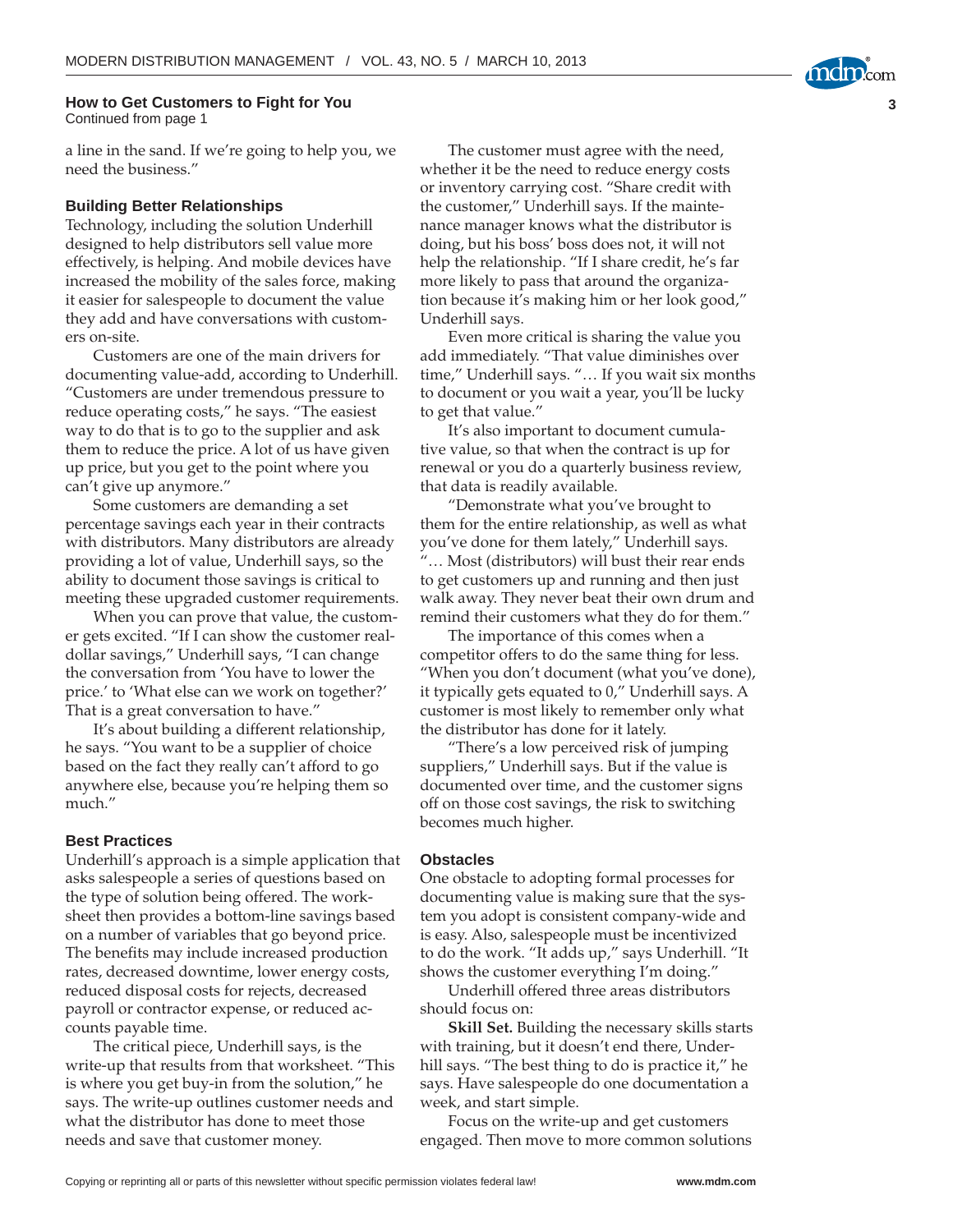#### **How to Get Customers to Fight for You** Continued from page 1

a line in the sand. If we're going to help you, we need the business."

#### **Building Better Relationships**

Technology, including the solution Underhill designed to help distributors sell value more effectively, is helping. And mobile devices have increased the mobility of the sales force, making it easier for salespeople to document the value they add and have conversations with customers on-site.

Customers are one of the main drivers for documenting value-add, according to Underhill. "Customers are under tremendous pressure to reduce operating costs," he says. "The easiest way to do that is to go to the supplier and ask them to reduce the price. A lot of us have given up price, but you get to the point where you can't give up anymore."

Some customers are demanding a set percentage savings each year in their contracts with distributors. Many distributors are already providing a lot of value, Underhill says, so the ability to document those savings is critical to meeting these upgraded customer requirements.

When you can prove that value, the customer gets excited. "If I can show the customer realdollar savings," Underhill says, "I can change the conversation from 'You have to lower the price.' to 'What else can we work on together?' That is a great conversation to have."

It's about building a different relationship, he says. "You want to be a supplier of choice based on the fact they really can't afford to go anywhere else, because you're helping them so much."

#### **Best Practices**

Underhill's approach is a simple application that asks salespeople a series of questions based on the type of solution being offered. The worksheet then provides a bottom-line savings based on a number of variables that go beyond price. The benefits may include increased production rates, decreased downtime, lower energy costs, reduced disposal costs for rejects, decreased payroll or contractor expense, or reduced accounts payable time.

The critical piece, Underhill says, is the write-up that results from that worksheet. "This is where you get buy-in from the solution," he says. The write-up outlines customer needs and what the distributor has done to meet those needs and save that customer money.

The customer must agree with the need, whether it be the need to reduce energy costs or inventory carrying cost. "Share credit with the customer," Underhill says. If the maintenance manager knows what the distributor is doing, but his boss' boss does not, it will not help the relationship. "If I share credit, he's far more likely to pass that around the organization because it's making him or her look good," Underhill says.

**3**

Even more critical is sharing the value you add immediately. "That value diminishes over time," Underhill says. "… If you wait six months to document or you wait a year, you'll be lucky to get that value."

It's also important to document cumulative value, so that when the contract is up for renewal or you do a quarterly business review, that data is readily available.

"Demonstrate what you've brought to them for the entire relationship, as well as what you've done for them lately," Underhill says. "… Most (distributors) will bust their rear ends to get customers up and running and then just walk away. They never beat their own drum and remind their customers what they do for them."

The importance of this comes when a competitor offers to do the same thing for less. "When you don't document (what you've done), it typically gets equated to 0," Underhill says. A customer is most likely to remember only what the distributor has done for it lately.

"There's a low perceived risk of jumping suppliers," Underhill says. But if the value is documented over time, and the customer signs off on those cost savings, the risk to switching becomes much higher.

#### **Obstacles**

One obstacle to adopting formal processes for documenting value is making sure that the system you adopt is consistent company-wide and is easy. Also, salespeople must be incentivized to do the work. "It adds up," says Underhill. "It shows the customer everything I'm doing."

Underhill offered three areas distributors should focus on:

**Skill Set.** Building the necessary skills starts with training, but it doesn't end there, Underhill says. "The best thing to do is practice it," he says. Have salespeople do one documentation a week, and start simple.

Focus on the write-up and get customers engaged. Then move to more common solutions